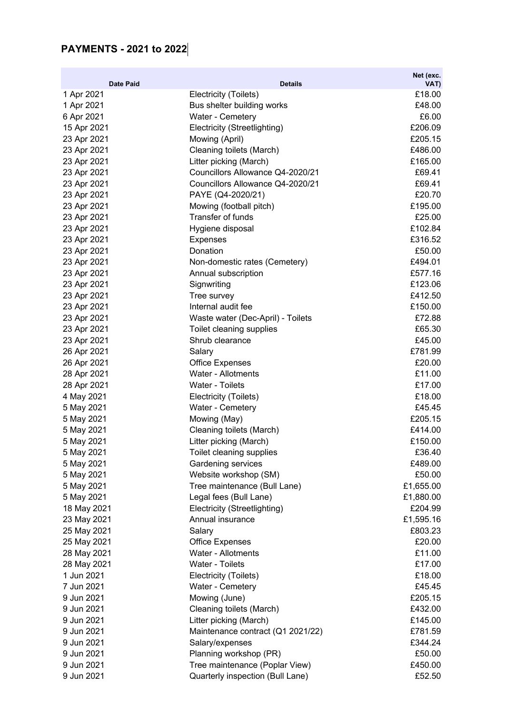## **PAYMENTS - 2021 to 2022**

|                                |                                              | Net (exc.         |
|--------------------------------|----------------------------------------------|-------------------|
| <b>Date Paid</b><br>1 Apr 2021 | <b>Details</b><br>Electricity (Toilets)      | VAT)<br>£18.00    |
| 1 Apr 2021                     | Bus shelter building works                   | £48.00            |
| 6 Apr 2021                     | Water - Cemetery                             | £6.00             |
| 15 Apr 2021                    | Electricity (Streetlighting)                 | £206.09           |
| 23 Apr 2021                    | Mowing (April)                               | £205.15           |
| 23 Apr 2021                    | Cleaning toilets (March)                     | £486.00           |
| 23 Apr 2021                    | Litter picking (March)                       | £165.00           |
| 23 Apr 2021                    | Councillors Allowance Q4-2020/21             | £69.41            |
| 23 Apr 2021                    | Councillors Allowance Q4-2020/21             | £69.41            |
| 23 Apr 2021                    | PAYE (Q4-2020/21)                            | £20.70            |
| 23 Apr 2021                    | Mowing (football pitch)                      | £195.00           |
| 23 Apr 2021                    | Transfer of funds                            | £25.00            |
| 23 Apr 2021                    | Hygiene disposal                             | £102.84           |
| 23 Apr 2021                    | <b>Expenses</b>                              | £316.52           |
| 23 Apr 2021                    | Donation                                     | £50.00            |
| 23 Apr 2021                    | Non-domestic rates (Cemetery)                | £494.01           |
| 23 Apr 2021                    | Annual subscription                          | £577.16           |
| 23 Apr 2021                    | Signwriting                                  | £123.06           |
| 23 Apr 2021                    | Tree survey                                  | £412.50           |
| 23 Apr 2021                    | Internal audit fee                           | £150.00           |
| 23 Apr 2021                    | Waste water (Dec-April) - Toilets            | £72.88            |
| 23 Apr 2021                    | Toilet cleaning supplies                     | £65.30            |
| 23 Apr 2021                    | Shrub clearance                              | £45.00            |
| 26 Apr 2021                    | Salary                                       | £781.99           |
| 26 Apr 2021                    | <b>Office Expenses</b><br>Water - Allotments | £20.00<br>£11.00  |
| 28 Apr 2021<br>28 Apr 2021     | Water - Toilets                              | £17.00            |
| 4 May 2021                     | Electricity (Toilets)                        | £18.00            |
| 5 May 2021                     | Water - Cemetery                             | £45.45            |
| 5 May 2021                     | Mowing (May)                                 | £205.15           |
| 5 May 2021                     | Cleaning toilets (March)                     | £414.00           |
| 5 May 2021                     | Litter picking (March)                       | £150.00           |
| 5 May 2021                     | Toilet cleaning supplies                     | £36.40            |
| 5 May 2021                     | Gardening services                           | £489.00           |
| 5 May 2021                     | Website workshop (SM)                        | £50.00            |
| 5 May 2021                     | Tree maintenance (Bull Lane)                 | £1,655.00         |
| 5 May 2021                     | Legal fees (Bull Lane)                       | £1,880.00         |
| 18 May 2021                    | Electricity (Streetlighting)                 | £204.99           |
| 23 May 2021                    | Annual insurance                             | £1,595.16         |
| 25 May 2021                    | Salary                                       | £803.23           |
| 25 May 2021                    | <b>Office Expenses</b>                       | £20.00            |
| 28 May 2021                    | Water - Allotments                           | £11.00            |
| 28 May 2021                    | Water - Toilets                              | £17.00            |
| 1 Jun 2021                     | Electricity (Toilets)                        | £18.00            |
| 7 Jun 2021                     | Water - Cemetery                             | £45.45            |
| 9 Jun 2021                     | Mowing (June)                                | £205.15           |
| 9 Jun 2021                     | Cleaning toilets (March)                     | £432.00           |
| 9 Jun 2021                     | Litter picking (March)                       | £145.00           |
| 9 Jun 2021                     | Maintenance contract (Q1 2021/22)            | £781.59           |
| 9 Jun 2021                     | Salary/expenses                              | £344.24           |
| 9 Jun 2021<br>9 Jun 2021       | Planning workshop (PR)                       | £50.00<br>£450.00 |
|                                | Tree maintenance (Poplar View)               | £52.50            |
| 9 Jun 2021                     | Quarterly inspection (Bull Lane)             |                   |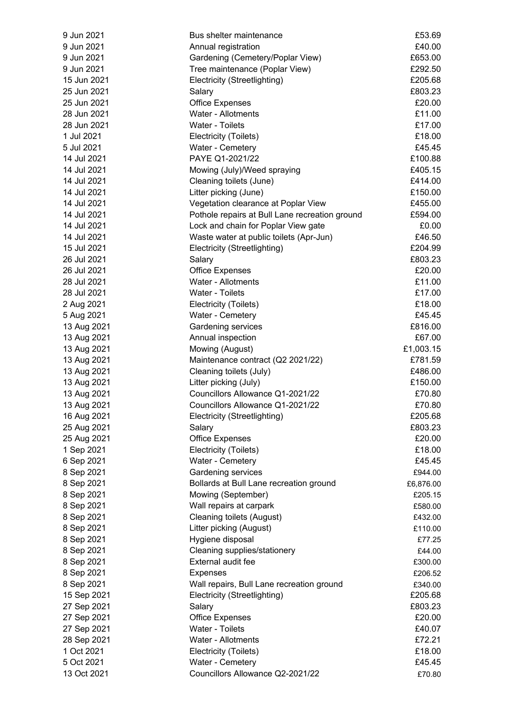| 9 Jun 2021  | Bus shelter maintenance                        | £53.69    |
|-------------|------------------------------------------------|-----------|
| 9 Jun 2021  | Annual registration                            | £40.00    |
| 9 Jun 2021  | Gardening (Cemetery/Poplar View)               | £653.00   |
| 9 Jun 2021  | Tree maintenance (Poplar View)                 | £292.50   |
| 15 Jun 2021 | Electricity (Streetlighting)                   | £205.68   |
| 25 Jun 2021 | Salary                                         | £803.23   |
| 25 Jun 2021 | <b>Office Expenses</b>                         | £20.00    |
| 28 Jun 2021 | Water - Allotments                             | £11.00    |
| 28 Jun 2021 | Water - Toilets                                | £17.00    |
| 1 Jul 2021  | Electricity (Toilets)                          | £18.00    |
| 5 Jul 2021  | Water - Cemetery                               | £45.45    |
| 14 Jul 2021 | PAYE Q1-2021/22                                | £100.88   |
| 14 Jul 2021 | Mowing (July)/Weed spraying                    | £405.15   |
| 14 Jul 2021 | Cleaning toilets (June)                        | £414.00   |
| 14 Jul 2021 | Litter picking (June)                          | £150.00   |
| 14 Jul 2021 | Vegetation clearance at Poplar View            | £455.00   |
| 14 Jul 2021 | Pothole repairs at Bull Lane recreation ground | £594.00   |
| 14 Jul 2021 | Lock and chain for Poplar View gate            | £0.00     |
| 14 Jul 2021 | Waste water at public toilets (Apr-Jun)        | £46.50    |
| 15 Jul 2021 |                                                | £204.99   |
|             | Electricity (Streetlighting)                   |           |
| 26 Jul 2021 | Salary                                         | £803.23   |
| 26 Jul 2021 | <b>Office Expenses</b>                         | £20.00    |
| 28 Jul 2021 | Water - Allotments                             | £11.00    |
| 28 Jul 2021 | Water - Toilets                                | £17.00    |
| 2 Aug 2021  | Electricity (Toilets)                          | £18.00    |
| 5 Aug 2021  | Water - Cemetery                               | £45.45    |
| 13 Aug 2021 | Gardening services                             | £816.00   |
| 13 Aug 2021 | Annual inspection                              | £67.00    |
| 13 Aug 2021 | Mowing (August)                                | £1,003.15 |
| 13 Aug 2021 | Maintenance contract (Q2 2021/22)              | £781.59   |
| 13 Aug 2021 | Cleaning toilets (July)                        | £486.00   |
| 13 Aug 2021 | Litter picking (July)                          | £150.00   |
| 13 Aug 2021 | Councillors Allowance Q1-2021/22               | £70.80    |
| 13 Aug 2021 | Councillors Allowance Q1-2021/22               | £70.80    |
| 16 Aug 2021 | Electricity (Streetlighting)                   | £205.68   |
| 25 Aug 2021 | Salary                                         | £803.23   |
| 25 Aug 2021 | <b>Office Expenses</b>                         | £20.00    |
| 1 Sep 2021  | Electricity (Toilets)                          | £18.00    |
| 6 Sep 2021  | Water - Cemetery                               | £45.45    |
| 8 Sep 2021  | Gardening services                             | £944.00   |
| 8 Sep 2021  | Bollards at Bull Lane recreation ground        | £6,876.00 |
| 8 Sep 2021  | Mowing (September)                             | £205.15   |
| 8 Sep 2021  | Wall repairs at carpark                        | £580.00   |
| 8 Sep 2021  | <b>Cleaning toilets (August)</b>               | £432.00   |
| 8 Sep 2021  | Litter picking (August)                        | £110.00   |
| 8 Sep 2021  | Hygiene disposal                               | £77.25    |
| 8 Sep 2021  | Cleaning supplies/stationery                   | £44.00    |
| 8 Sep 2021  | External audit fee                             | £300.00   |
| 8 Sep 2021  | <b>Expenses</b>                                | £206.52   |
| 8 Sep 2021  | Wall repairs, Bull Lane recreation ground      | £340.00   |
| 15 Sep 2021 | Electricity (Streetlighting)                   | £205.68   |
| 27 Sep 2021 | Salary                                         | £803.23   |
| 27 Sep 2021 | <b>Office Expenses</b>                         | £20.00    |
| 27 Sep 2021 | Water - Toilets                                | £40.07    |
| 28 Sep 2021 | Water - Allotments                             | £72.21    |
| 1 Oct 2021  | Electricity (Toilets)                          | £18.00    |
| 5 Oct 2021  | Water - Cemetery                               | £45.45    |
| 13 Oct 2021 | Councillors Allowance Q2-2021/22               |           |
|             |                                                | £70.80    |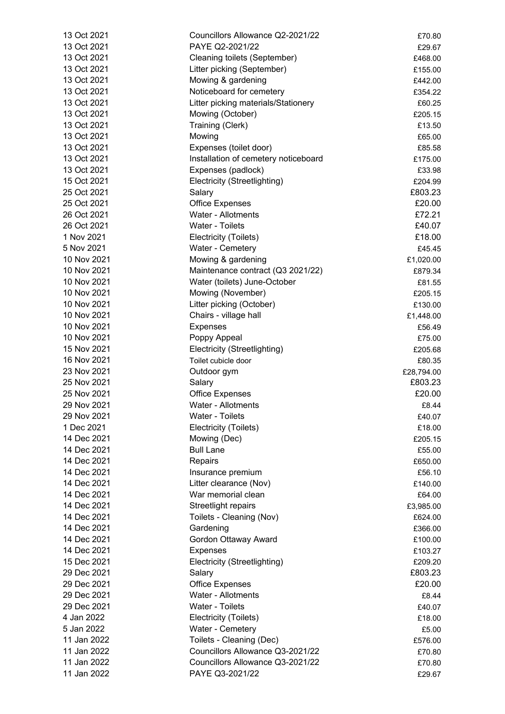| 13 Oct 2021                | Councillors Allowance Q2-2021/22     | £70.80                |
|----------------------------|--------------------------------------|-----------------------|
| 13 Oct 2021                | PAYE Q2-2021/22                      | £29.67                |
| 13 Oct 2021                | Cleaning toilets (September)         | £468.00               |
| 13 Oct 2021                | Litter picking (September)           | £155.00               |
| 13 Oct 2021                | Mowing & gardening                   | £442.00               |
| 13 Oct 2021                | Noticeboard for cemetery             | £354.22               |
| 13 Oct 2021                | Litter picking materials/Stationery  | £60.25                |
| 13 Oct 2021                | Mowing (October)                     | £205.15               |
| 13 Oct 2021                | Training (Clerk)                     | £13.50                |
| 13 Oct 2021                | Mowing                               | £65.00                |
| 13 Oct 2021                | Expenses (toilet door)               | £85.58                |
| 13 Oct 2021                | Installation of cemetery noticeboard | £175.00               |
| 13 Oct 2021                | Expenses (padlock)                   | £33.98                |
| 15 Oct 2021                | Electricity (Streetlighting)         | £204.99               |
| 25 Oct 2021                | Salary                               | £803.23               |
| 25 Oct 2021                | <b>Office Expenses</b>               | £20.00                |
| 26 Oct 2021                | Water - Allotments                   | £72.21                |
| 26 Oct 2021                | Water - Toilets                      | £40.07                |
| 1 Nov 2021                 | Electricity (Toilets)                | £18.00                |
| 5 Nov 2021                 | Water - Cemetery                     | £45.45                |
| 10 Nov 2021                | Mowing & gardening                   | £1,020.00             |
| 10 Nov 2021                | Maintenance contract (Q3 2021/22)    | £879.34               |
| 10 Nov 2021                | Water (toilets) June-October         | £81.55                |
| 10 Nov 2021                | Mowing (November)                    | £205.15               |
| 10 Nov 2021                | Litter picking (October)             | £130.00               |
| 10 Nov 2021                | Chairs - village hall                | £1,448.00             |
| 10 Nov 2021                | <b>Expenses</b>                      | £56.49                |
| 10 Nov 2021                | Poppy Appeal                         | £75.00                |
| 15 Nov 2021                | Electricity (Streetlighting)         | £205.68               |
| 16 Nov 2021                | Toilet cubicle door                  | £80.35                |
| 23 Nov 2021                | Outdoor gym                          |                       |
| 25 Nov 2021                | Salary                               | £28,794.00<br>£803.23 |
| 25 Nov 2021                | <b>Office Expenses</b>               | £20.00                |
| 29 Nov 2021                | Water - Allotments                   | £8.44                 |
| 29 Nov 2021                | Water - Toilets                      | £40.07                |
| 1 Dec 2021                 | Electricity (Toilets)                |                       |
| 14 Dec 2021                |                                      | £18.00                |
| 14 Dec 2021                | Mowing (Dec)<br><b>Bull Lane</b>     | £205.15               |
| 14 Dec 2021                |                                      | £55.00                |
|                            | Repairs                              | £650.00               |
| 14 Dec 2021                | Insurance premium                    | £56.10                |
| 14 Dec 2021                | Litter clearance (Nov)               | £140.00               |
| 14 Dec 2021<br>14 Dec 2021 | War memorial clean                   | £64.00                |
|                            | Streetlight repairs                  | £3,985.00             |
| 14 Dec 2021                | Toilets - Cleaning (Nov)             | £624.00               |
| 14 Dec 2021                | Gardening                            | £366.00               |
| 14 Dec 2021                | Gordon Ottaway Award                 | £100.00               |
| 14 Dec 2021                | <b>Expenses</b>                      | £103.27               |
| 15 Dec 2021                | Electricity (Streetlighting)         | £209.20               |
| 29 Dec 2021                | Salary                               | £803.23               |
| 29 Dec 2021                | <b>Office Expenses</b>               | £20.00                |
| 29 Dec 2021                | Water - Allotments                   | £8.44                 |
| 29 Dec 2021                | Water - Toilets                      | £40.07                |
| 4 Jan 2022                 | Electricity (Toilets)                | £18.00                |
| 5 Jan 2022                 | Water - Cemetery                     | £5.00                 |
| 11 Jan 2022                | Toilets - Cleaning (Dec)             | £576.00               |
| 11 Jan 2022                | Councillors Allowance Q3-2021/22     | £70.80                |
| 11 Jan 2022                | Councillors Allowance Q3-2021/22     | £70.80                |
| 11 Jan 2022                | PAYE Q3-2021/22                      | £29.67                |